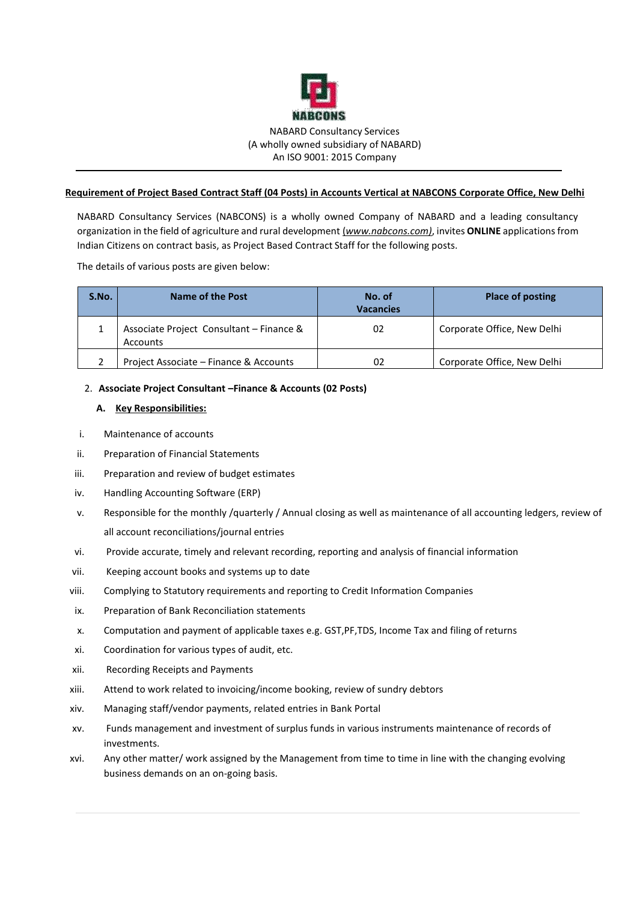

### **Requirement of Project Based Contract Staff (04 Posts) in Accounts Vertical at NABCONS Corporate Office, New Delhi**

NABARD Consultancy Services (NABCONS) is a wholly owned Company of NABARD and a leading consultancy organization in the field of agriculture and rural development (*www.nabcons.com)*, invites **ONLINE** applications from Indian Citizens on contract basis, as Project Based Contract Staff for the following posts.

The details of various posts are given below:

| S.No. | Name of the Post                                     | No. of<br><b>Vacancies</b> | <b>Place of posting</b>     |
|-------|------------------------------------------------------|----------------------------|-----------------------------|
|       | Associate Project Consultant - Finance &<br>Accounts | 02                         | Corporate Office, New Delhi |
|       | Project Associate - Finance & Accounts               | 02                         | Corporate Office, New Delhi |

## 2. **Associate Project Consultant –Finance & Accounts (02 Posts)**

## **A. Key Responsibilities:**

- i. Maintenance of accounts
- ii. Preparation of Financial Statements
- iii. Preparation and review of budget estimates
- iv. Handling Accounting Software (ERP)
- v. Responsible for the monthly /quarterly / Annual closing as well as maintenance of all accounting ledgers, review of all account reconciliations/journal entries
- vi. Provide accurate, timely and relevant recording, reporting and analysis of financial information
- vii. Keeping account books and systems up to date
- viii. Complying to Statutory requirements and reporting to Credit Information Companies
- ix. Preparation of Bank Reconciliation statements
- x. Computation and payment of applicable taxes e.g. GST,PF,TDS, Income Tax and filing of returns
- xi. Coordination for various types of audit, etc.
- xii. Recording Receipts and Payments
- xiii. Attend to work related to invoicing/income booking, review of sundry debtors
- xiv. Managing staff/vendor payments, related entries in Bank Portal
- xv. Funds management and investment of surplus funds in various instruments maintenance of records of investments.
- xvi. Any other matter/ work assigned by the Management from time to time in line with the changing evolving business demands on an on-going basis.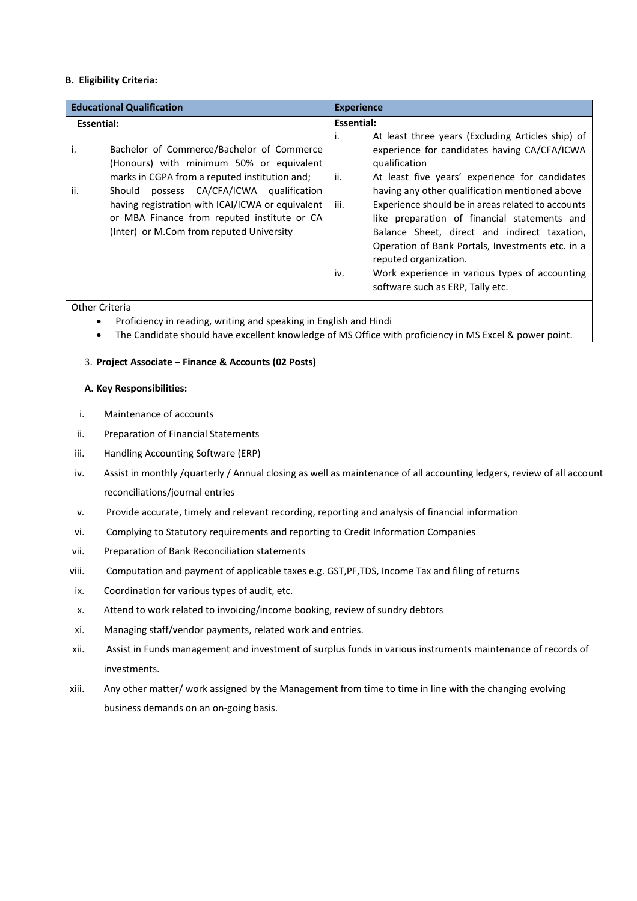## **B. Eligibility Criteria:**

| <b>Educational Qualification</b>                                                                                                                                                                                                                                                                                                                  | <b>Experience</b>                                                                                                                                                                                                                                                                                                                                                                                                                                                                                                                                                          |  |
|---------------------------------------------------------------------------------------------------------------------------------------------------------------------------------------------------------------------------------------------------------------------------------------------------------------------------------------------------|----------------------------------------------------------------------------------------------------------------------------------------------------------------------------------------------------------------------------------------------------------------------------------------------------------------------------------------------------------------------------------------------------------------------------------------------------------------------------------------------------------------------------------------------------------------------------|--|
| Essential:                                                                                                                                                                                                                                                                                                                                        | Essential:                                                                                                                                                                                                                                                                                                                                                                                                                                                                                                                                                                 |  |
| Bachelor of Commerce/Bachelor of Commerce<br>۱.<br>(Honours) with minimum 50% or equivalent<br>marks in CGPA from a reputed institution and;<br>possess CA/CFA/ICWA qualification<br>ii.<br>Should<br>having registration with ICAI/ICWA or equivalent<br>or MBA Finance from reputed institute or CA<br>(Inter) or M.Com from reputed University | At least three years (Excluding Articles ship) of<br>i.<br>experience for candidates having CA/CFA/ICWA<br>qualification<br>ii.<br>At least five years' experience for candidates<br>having any other qualification mentioned above<br>iii.<br>Experience should be in areas related to accounts<br>like preparation of financial statements and<br>Balance Sheet, direct and indirect taxation,<br>Operation of Bank Portals, Investments etc. in a<br>reputed organization.<br>Work experience in various types of accounting<br>iv.<br>software such as ERP, Tally etc. |  |

Other Criteria

- Proficiency in reading, writing and speaking in English and Hindi
- The Candidate should have excellent knowledge of MS Office with proficiency in MS Excel & power point.

## 3. **Project Associate – Finance & Accounts (02 Posts)**

#### **A. Key Responsibilities:**

- i. Maintenance of accounts
- ii. Preparation of Financial Statements
- iii. Handling Accounting Software (ERP)
- iv. Assist in monthly /quarterly / Annual closing as well as maintenance of all accounting ledgers, review of all account reconciliations/journal entries
- v. Provide accurate, timely and relevant recording, reporting and analysis of financial information
- vi. Complying to Statutory requirements and reporting to Credit Information Companies
- vii. Preparation of Bank Reconciliation statements
- viii. Computation and payment of applicable taxes e.g. GST,PF,TDS, Income Tax and filing of returns
- ix. Coordination for various types of audit, etc.
- x. Attend to work related to invoicing/income booking, review of sundry debtors
- xi. Managing staff/vendor payments, related work and entries.
- xii. Assist in Funds management and investment of surplus funds in various instruments maintenance of records of investments.
- xiii. Any other matter/ work assigned by the Management from time to time in line with the changing evolving business demands on an on-going basis.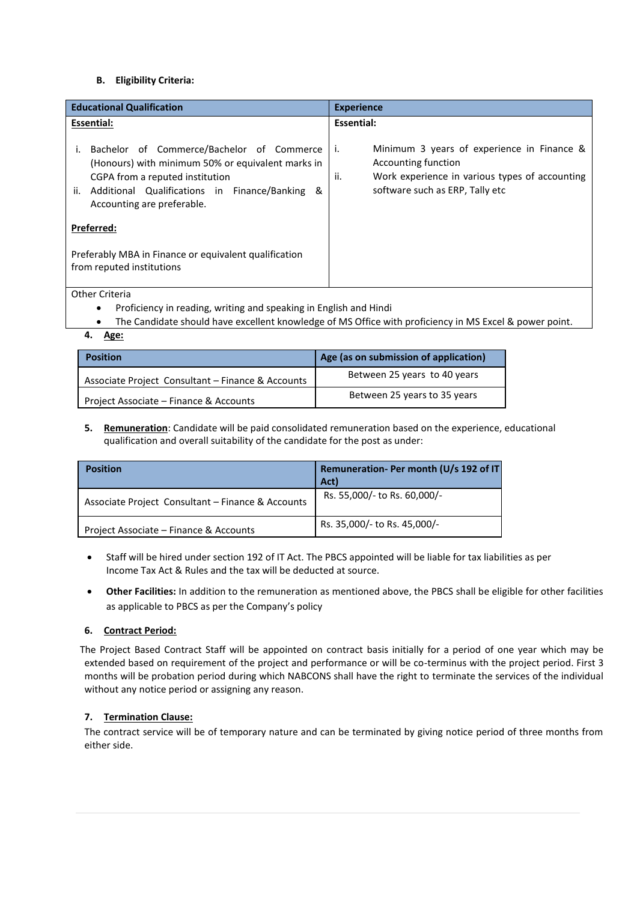## **B. Eligibility Criteria:**

| <b>Educational Qualification</b>                                                                                                                                                                                            | <b>Experience</b>                                                                                                                                                   |  |
|-----------------------------------------------------------------------------------------------------------------------------------------------------------------------------------------------------------------------------|---------------------------------------------------------------------------------------------------------------------------------------------------------------------|--|
| Essential:                                                                                                                                                                                                                  | <b>Essential:</b>                                                                                                                                                   |  |
| Bachelor of Commerce/Bachelor of Commerce<br>(Honours) with minimum 50% or equivalent marks in<br>CGPA from a reputed institution<br>Additional Qualifications in Finance/Banking<br>ୟ<br>ii.<br>Accounting are preferable. | i.<br>Minimum 3 years of experience in Finance &<br>Accounting function<br>ii.<br>Work experience in various types of accounting<br>software such as ERP, Tally etc |  |
| Preferred:                                                                                                                                                                                                                  |                                                                                                                                                                     |  |
| Preferably MBA in Finance or equivalent qualification<br>from reputed institutions                                                                                                                                          |                                                                                                                                                                     |  |

Other Criteria

- Proficiency in reading, writing and speaking in English and Hindi
- The Candidate should have excellent knowledge of MS Office with proficiency in MS Excel & power point.
- **4. Age:**

| <b>Position</b>                                   | Age (as on submission of application) |
|---------------------------------------------------|---------------------------------------|
| Associate Project Consultant - Finance & Accounts | Between 25 years to 40 years          |
| Project Associate - Finance & Accounts            | Between 25 years to 35 years          |

**5. Remuneration**: Candidate will be paid consolidated remuneration based on the experience, educational qualification and overall suitability of the candidate for the post as under:

| <b>Position</b>                                   | Remuneration- Per month (U/s 192 of IT)<br>Act) |
|---------------------------------------------------|-------------------------------------------------|
| Associate Project Consultant - Finance & Accounts | Rs. 55,000/- to Rs. 60,000/-                    |
| Project Associate – Finance & Accounts            | Rs. 35,000/- to Rs. 45,000/-                    |

- Staff will be hired under section 192 of IT Act. The PBCS appointed will be liable for tax liabilities as per Income Tax Act & Rules and the tax will be deducted at source.
- **Other Facilities:** In addition to the remuneration as mentioned above, the PBCS shall be eligible for other facilities as applicable to PBCS as per the Company's policy

#### **6. Contract Period:**

 The Project Based Contract Staff will be appointed on contract basis initially for a period of one year which may be extended based on requirement of the project and performance or will be co-terminus with the project period. First 3 months will be probation period during which NABCONS shall have the right to terminate the services of the individual without any notice period or assigning any reason.

# **7. Termination Clause:**

The contract service will be of temporary nature and can be terminated by giving notice period of three months from either side.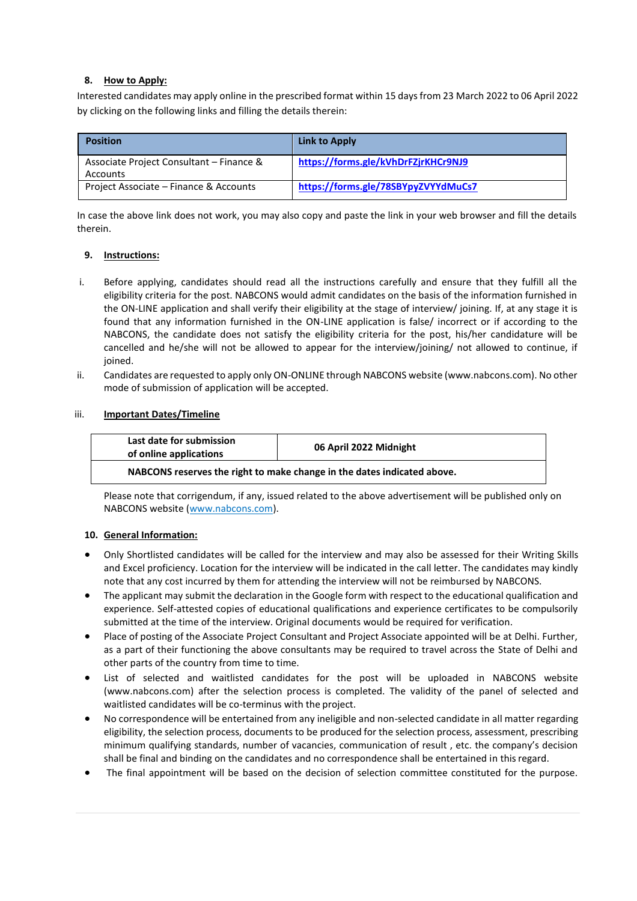# **8. How to Apply:**

Interested candidates may apply online in the prescribed format within 15 days from 23 March 2022 to 06 April 2022 by clicking on the following links and filling the details therein:

| <b>Position</b>                                      | Link to Apply                       |
|------------------------------------------------------|-------------------------------------|
| Associate Project Consultant - Finance &<br>Accounts | https://forms.gle/kVhDrFZjrKHCr9NJ9 |
| Project Associate – Finance & Accounts               | https://forms.gle/78SBYpyZVYYdMuCs7 |

In case the above link does not work, you may also copy and paste the link in your web browser and fill the details therein.

## **9. Instructions:**

- i. Before applying, candidates should read all the instructions carefully and ensure that they fulfill all the eligibility criteria for the post. NABCONS would admit candidates on the basis of the information furnished in the ON-LINE application and shall verify their eligibility at the stage of interview/ joining. If, at any stage it is found that any information furnished in the ON-LINE application is false/ incorrect or if according to the NABCONS, the candidate does not satisfy the eligibility criteria for the post, his/her candidature will be cancelled and he/she will not be allowed to appear for the interview/joining/ not allowed to continue, if ioined.
- ii. Candidates are requested to apply only ON-ONLINE through NABCONS website (www.nabcons.com). No other mode of submission of application will be accepted.

## iii. **Important Dates/Timeline**

| Last date for submission<br>of online applications                      | 06 April 2022 Midnight |
|-------------------------------------------------------------------------|------------------------|
| NABCONS reserves the right to make change in the dates indicated above. |                        |

Please note that corrigendum, if any, issued related to the above advertisement will be published only on NABCONS website [\(www.nabcons.com\)](http://www.nabcons.com/).

#### **10. General Information:**

- Only Shortlisted candidates will be called for the interview and may also be assessed for their Writing Skills and Excel proficiency. Location for the interview will be indicated in the call letter. The candidates may kindly note that any cost incurred by them for attending the interview will not be reimbursed by NABCONS.
- The applicant may submit the declaration in the Google form with respect to the educational qualification and experience. Self-attested copies of educational qualifications and experience certificates to be compulsorily submitted at the time of the interview. Original documents would be required for verification.
- Place of posting of the Associate Project Consultant and Project Associate appointed will be at Delhi. Further, as a part of their functioning the above consultants may be required to travel across the State of Delhi and other parts of the country from time to time.
- List of selected and waitlisted candidates for the post will be uploaded in NABCONS website [\(www.nabcons.com\)](http://www.nabcons.com/) after the selection process is completed. The validity of the panel of selected and waitlisted candidates will be co-terminus with the project.
- No correspondence will be entertained from any ineligible and non-selected candidate in all matter regarding eligibility, the selection process, documents to be produced for the selection process, assessment, prescribing minimum qualifying standards, number of vacancies, communication of result , etc. the company's decision shall be final and binding on the candidates and no correspondence shall be entertained in thisregard.
- The final appointment will be based on the decision of selection committee constituted for the purpose.